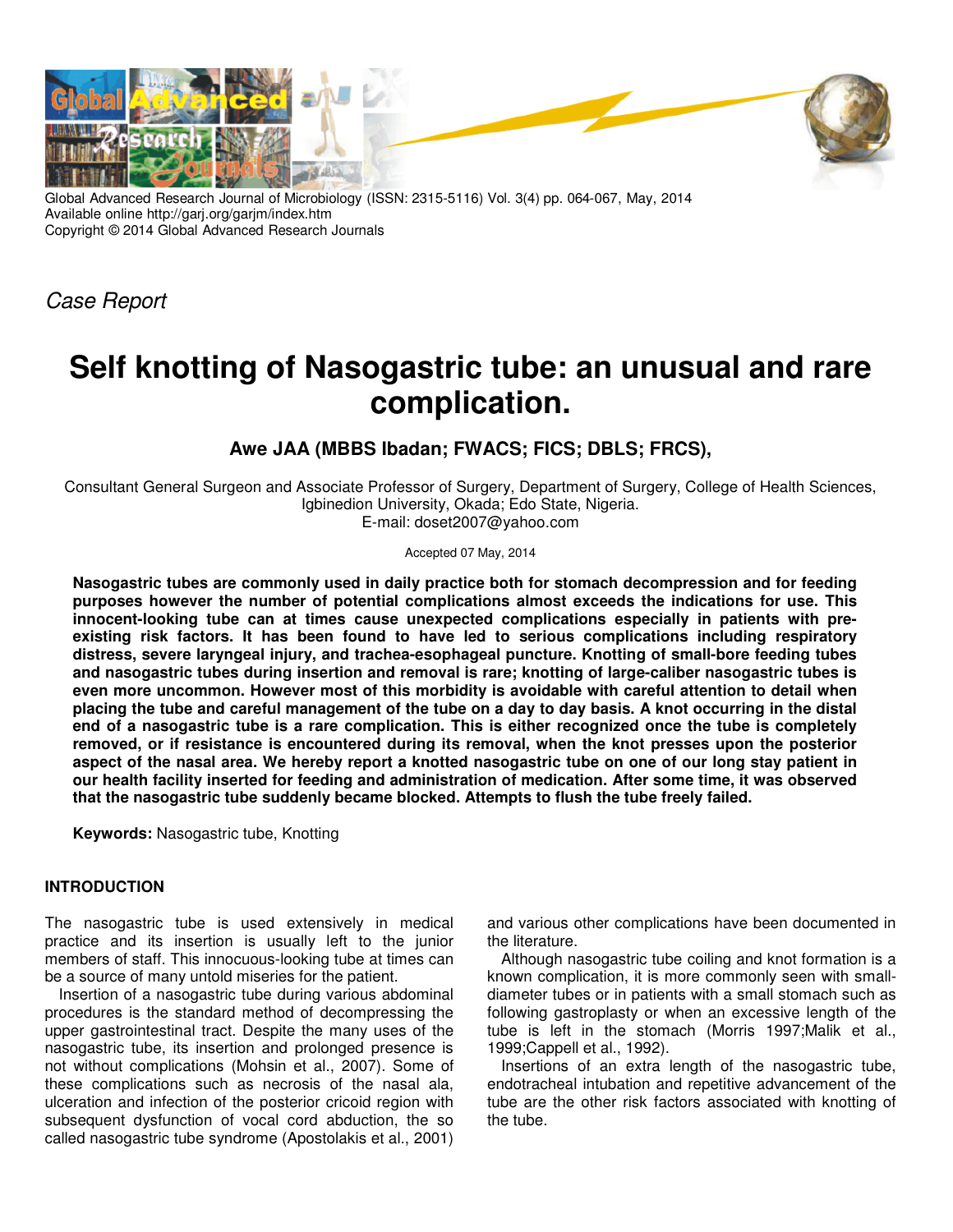

Global Advanced Research Journal of Microbiology (ISSN: 2315-5116) Vol. 3(4) pp. 064-067, May, 2014 Available online http://garj.org/garjm/index.htm Copyright © 2014 Global Advanced Research Journals

*Case Report*

# **Self knotting of Nasogastric tube: an unusual and rare complication.**

# **Awe JAA (MBBS Ibadan; FWACS; FICS; DBLS; FRCS),**

Consultant General Surgeon and Associate Professor of Surgery, Department of Surgery, College of Health Sciences, Igbinedion University, Okada; Edo State, Nigeria. E-mail: doset2007@yahoo.com

#### Accepted 07 May, 2014

**Nasogastric tubes are commonly used in daily practice both for stomach decompression and for feeding purposes however the number of potential complications almost exceeds the indications for use. This innocent-looking tube can at times cause unexpected complications especially in patients with preexisting risk factors. It has been found to have led to serious complications including respiratory distress, severe laryngeal injury, and trachea-esophageal puncture. Knotting of small-bore feeding tubes and nasogastric tubes during insertion and removal is rare; knotting of large-caliber nasogastric tubes is even more uncommon. However most of this morbidity is avoidable with careful attention to detail when placing the tube and careful management of the tube on a day to day basis. A knot occurring in the distal end of a nasogastric tube is a rare complication. This is either recognized once the tube is completely removed, or if resistance is encountered during its removal, when the knot presses upon the posterior aspect of the nasal area. We hereby report a knotted nasogastric tube on one of our long stay patient in our health facility inserted for feeding and administration of medication. After some time, it was observed that the nasogastric tube suddenly became blocked. Attempts to flush the tube freely failed.** 

**Keywords:** Nasogastric tube, Knotting

### **INTRODUCTION**

The nasogastric tube is used extensively in medical practice and its insertion is usually left to the junior members of staff. This innocuous-looking tube at times can be a source of many untold miseries for the patient.

Insertion of a nasogastric tube during various abdominal procedures is the standard method of decompressing the upper gastrointestinal tract. Despite the many uses of the nasogastric tube, its insertion and prolonged presence is not without complications (Mohsin et al., 2007). Some of these complications such as necrosis of the nasal ala, ulceration and infection of the posterior cricoid region with subsequent dysfunction of vocal cord abduction, the so called nasogastric tube syndrome (Apostolakis et al., 2001)

and various other complications have been documented in the literature.

Although nasogastric tube coiling and knot formation is a known complication, it is more commonly seen with smalldiameter tubes or in patients with a small stomach such as following gastroplasty or when an excessive length of the tube is left in the stomach (Morris 1997;Malik et al., 1999;Cappell et al., 1992).

Insertions of an extra length of the nasogastric tube, endotracheal intubation and repetitive advancement of the tube are the other risk factors associated with knotting of the tube.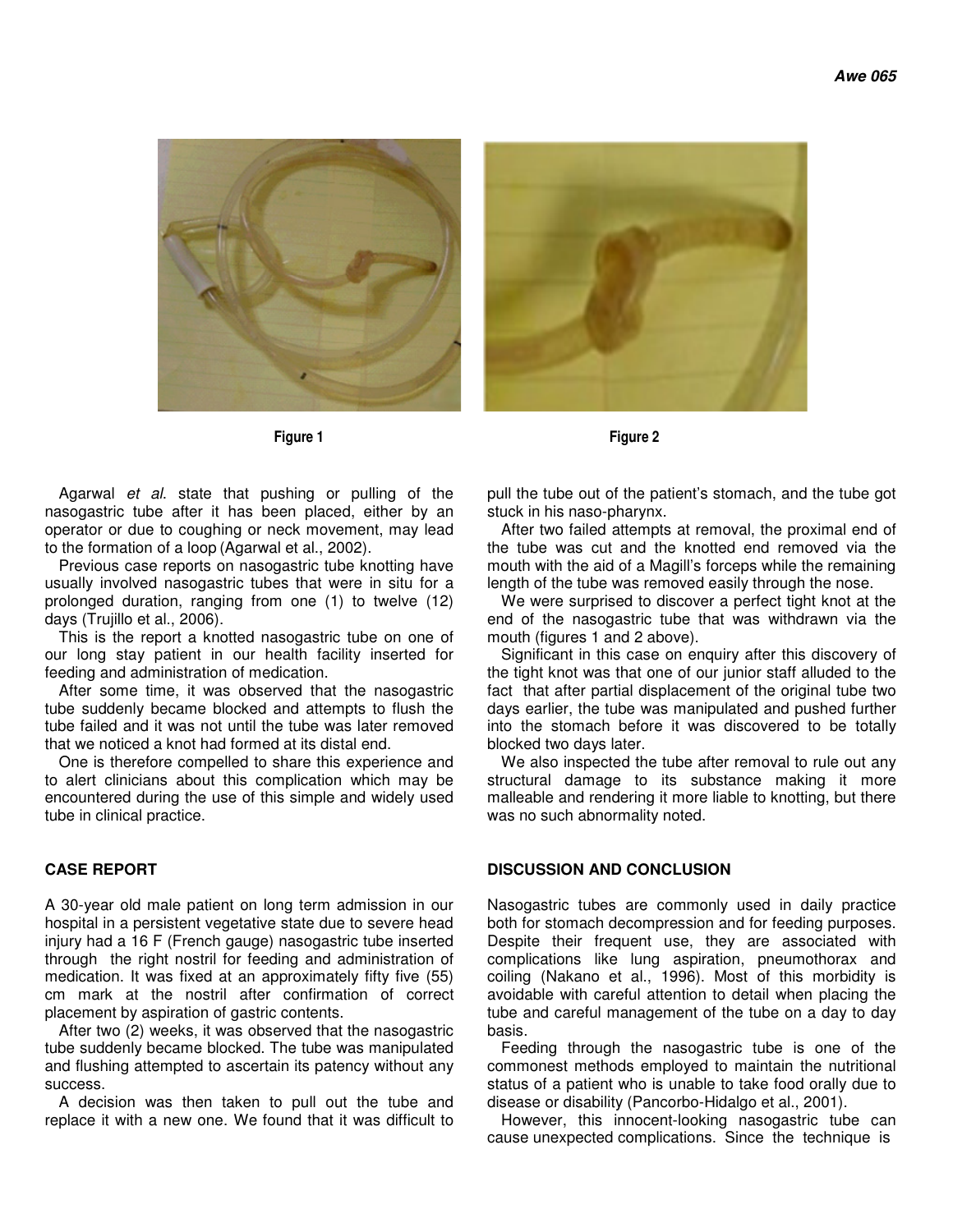



**Figure 1** Figure 2

Agarwal *et al*. state that pushing or pulling of the nasogastric tube after it has been placed, either by an operator or due to coughing or neck movement, may lead to the formation of a loop (Agarwal et al., 2002).

Previous case reports on nasogastric tube knotting have usually involved nasogastric tubes that were in situ for a prolonged duration, ranging from one (1) to twelve (12) days (Trujillo et al., 2006).

This is the report a knotted nasogastric tube on one of our long stay patient in our health facility inserted for feeding and administration of medication.

After some time, it was observed that the nasogastric tube suddenly became blocked and attempts to flush the tube failed and it was not until the tube was later removed that we noticed a knot had formed at its distal end.

One is therefore compelled to share this experience and to alert clinicians about this complication which may be encountered during the use of this simple and widely used tube in clinical practice.

### **CASE REPORT**

A 30-year old male patient on long term admission in our hospital in a persistent vegetative state due to severe head injury had a 16 F (French gauge) nasogastric tube inserted through the right nostril for feeding and administration of medication. It was fixed at an approximately fifty five (55) cm mark at the nostril after confirmation of correct placement by aspiration of gastric contents.

After two (2) weeks, it was observed that the nasogastric tube suddenly became blocked. The tube was manipulated and flushing attempted to ascertain its patency without any success.

A decision was then taken to pull out the tube and replace it with a new one. We found that it was difficult to pull the tube out of the patient's stomach, and the tube got stuck in his naso-pharynx.

After two failed attempts at removal, the proximal end of the tube was cut and the knotted end removed via the mouth with the aid of a Magill's forceps while the remaining length of the tube was removed easily through the nose.

We were surprised to discover a perfect tight knot at the end of the nasogastric tube that was withdrawn via the mouth (figures 1 and 2 above).

Significant in this case on enquiry after this discovery of the tight knot was that one of our junior staff alluded to the fact that after partial displacement of the original tube two days earlier, the tube was manipulated and pushed further into the stomach before it was discovered to be totally blocked two days later.

We also inspected the tube after removal to rule out any structural damage to its substance making it more malleable and rendering it more liable to knotting, but there was no such abnormality noted.

## **DISCUSSION AND CONCLUSION**

Nasogastric tubes are commonly used in daily practice both for stomach decompression and for feeding purposes. Despite their frequent use, they are associated with complications like lung aspiration, pneumothorax and coiling (Nakano et al., 1996). Most of this morbidity is avoidable with careful attention to detail when placing the tube and careful management of the tube on a day to day basis.

Feeding through the nasogastric tube is one of the commonest methods employed to maintain the nutritional status of a patient who is unable to take food orally due to disease or disability (Pancorbo-Hidalgo et al., 2001).

However, this innocent-looking nasogastric tube can cause unexpected complications. Since the technique is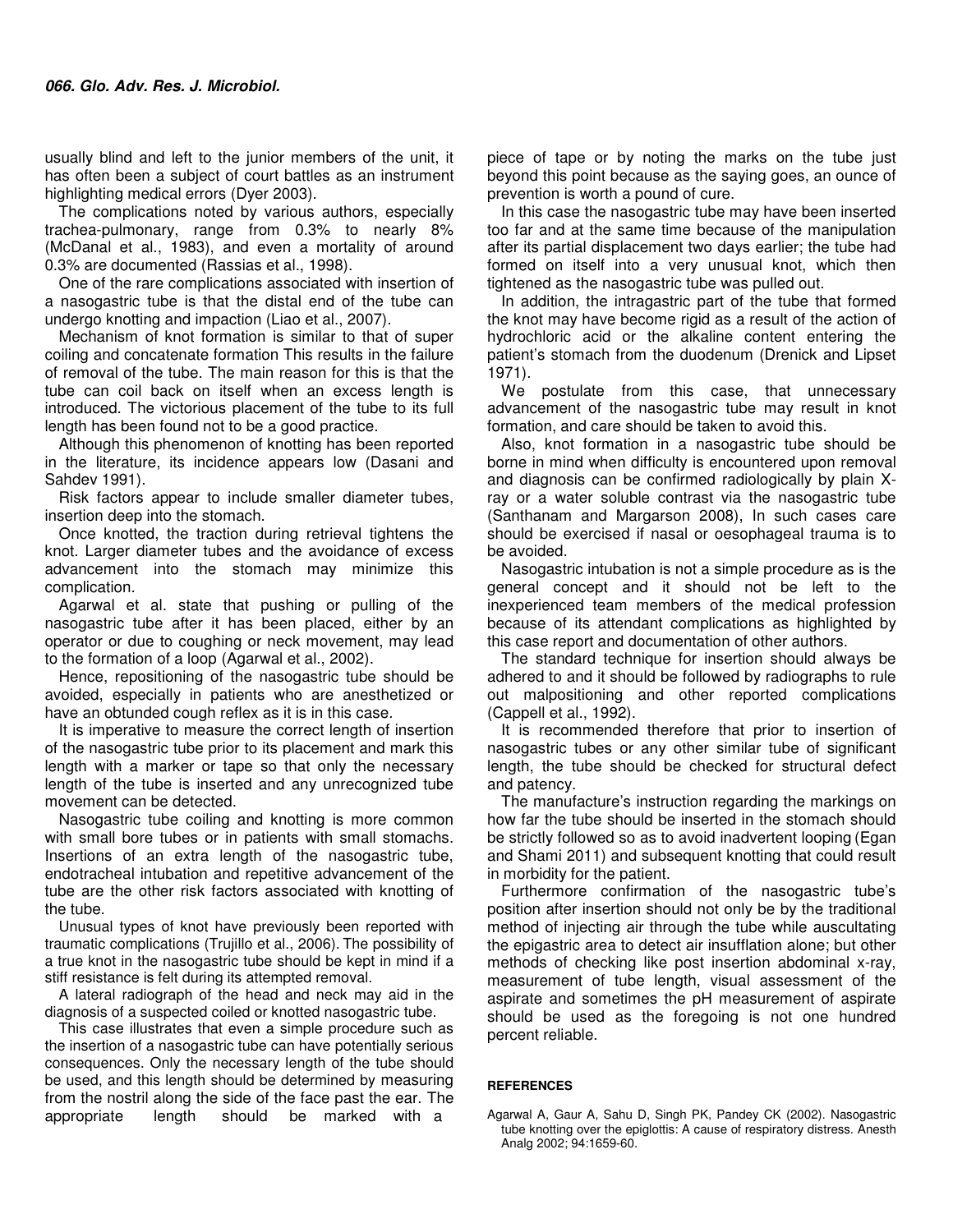usually blind and left to the junior members of the unit, it has often been a subject of court battles as an instrument highlighting medical errors (Dyer 2003).

The complications noted by various authors, especially trachea-pulmonary, range from 0.3% to nearly 8% (McDanal et al., 1983), and even a mortality of around 0.3% are documented (Rassias et al., 1998).

One of the rare complications associated with insertion of a nasogastric tube is that the distal end of the tube can undergo knotting and impaction (Liao et al., 2007).

Mechanism of knot formation is similar to that of super coiling and concatenate formation This results in the failure of removal of the tube. The main reason for this is that the tube can coil back on itself when an excess length is introduced. The victorious placement of the tube to its full length has been found not to be a good practice.

Although this phenomenon of knotting has been reported in the literature, its incidence appears low (Dasani and Sahdev 1991).

Risk factors appear to include smaller diameter tubes, insertion deep into the stomach.

Once knotted, the traction during retrieval tightens the knot. Larger diameter tubes and the avoidance of excess advancement into the stomach may minimize this complication.

Agarwal et al. state that pushing or pulling of the nasogastric tube after it has been placed, either by an operator or due to coughing or neck movement, may lead to the formation of a loop (Agarwal et al., 2002).

Hence, repositioning of the nasogastric tube should be avoided, especially in patients who are anesthetized or have an obtunded cough reflex as it is in this case.

It is imperative to measure the correct length of insertion of the nasogastric tube prior to its placement and mark this length with a marker or tape so that only the necessary length of the tube is inserted and any unrecognized tube movement can be detected.

Nasogastric tube coiling and knotting is more common with small bore tubes or in patients with small stomachs. Insertions of an extra length of the nasogastric tube, endotracheal intubation and repetitive advancement of the tube are the other risk factors associated with knotting of the tube.

Unusual types of knot have previously been reported with traumatic complications (Trujillo et al., 2006). The possibility of a true knot in the nasogastric tube should be kept in mind if a stiff resistance is felt during its attempted removal.

A lateral radiograph of the head and neck may aid in the diagnosis of a suspected coiled or knotted nasogastric tube.

This case illustrates that even a simple procedure such as the insertion of a nasogastric tube can have potentially serious consequences. Only the necessary length of the tube should be used, and this length should be determined by measuring from the nostril along the side of the face past the ear. The appropriate length should be marked with a

piece of tape or by noting the marks on the tube just beyond this point because as the saying goes, an ounce of prevention is worth a pound of cure.

In this case the nasogastric tube may have been inserted too far and at the same time because of the manipulation after its partial displacement two days earlier; the tube had formed on itself into a very unusual knot, which then tightened as the nasogastric tube was pulled out.

In addition, the intragastric part of the tube that formed the knot may have become rigid as a result of the action of hydrochloric acid or the alkaline content entering the patient's stomach from the duodenum (Drenick and Lipset 1971).

We postulate from this case, that unnecessary advancement of the nasogastric tube may result in knot formation, and care should be taken to avoid this.

Also, knot formation in a nasogastric tube should be borne in mind when difficulty is encountered upon removal and diagnosis can be confirmed radiologically by plain Xray or a water soluble contrast via the nasogastric tube (Santhanam and Margarson 2008), In such cases care should be exercised if nasal or oesophageal trauma is to be avoided.

Nasogastric intubation is not a simple procedure as is the general concept and it should not be left to the inexperienced team members of the medical profession because of its attendant complications as highlighted by this case report and documentation of other authors.

The standard technique for insertion should always be adhered to and it should be followed by radiographs to rule out malpositioning and other reported complications (Cappell et al., 1992).

It is recommended therefore that prior to insertion of nasogastric tubes or any other similar tube of significant length, the tube should be checked for structural defect and patency.

The manufacture's instruction regarding the markings on how far the tube should be inserted in the stomach should be strictly followed so as to avoid inadvertent looping (Egan and Shami 2011) and subsequent knotting that could result in morbidity for the patient.

Furthermore confirmation of the nasogastric tube's position after insertion should not only be by the traditional method of injecting air through the tube while auscultating the epigastric area to detect air insufflation alone; but other methods of checking like post insertion abdominal x-ray, measurement of tube length, visual assessment of the aspirate and sometimes the pH measurement of aspirate should be used as the foregoing is not one hundred percent reliable.

#### **REFERENCES**

Agarwal A, Gaur A, Sahu D, Singh PK, Pandey CK (2002). Nasogastric tube knotting over the epiglottis: A cause of respiratory distress. Anesth Analg 2002; 94:1659-60.